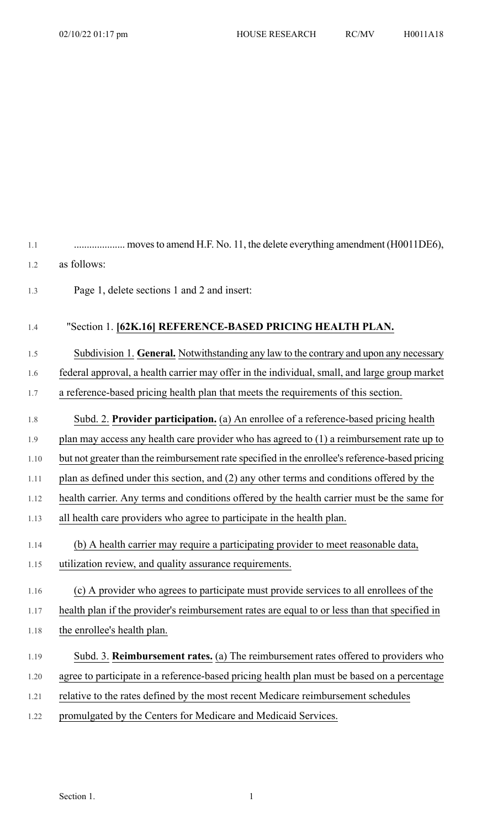| 1.2  | as follows:                                                                                     |
|------|-------------------------------------------------------------------------------------------------|
| 1.3  | Page 1, delete sections 1 and 2 and insert:                                                     |
| 1.4  | "Section 1. [62K.16] REFERENCE-BASED PRICING HEALTH PLAN.                                       |
| 1.5  | Subdivision 1. General. Notwithstanding any law to the contrary and upon any necessary          |
| 1.6  | federal approval, a health carrier may offer in the individual, small, and large group market   |
| 1.7  | a reference-based pricing health plan that meets the requirements of this section.              |
| 1.8  | Subd. 2. Provider participation. (a) An enrollee of a reference-based pricing health            |
| 1.9  | plan may access any health care provider who has agreed to $(1)$ a reimbursement rate up to     |
| 1.10 | but not greater than the reimbursement rate specified in the enrollee's reference-based pricing |
| 1.11 | plan as defined under this section, and (2) any other terms and conditions offered by the       |
| 1.12 | health carrier. Any terms and conditions offered by the health carrier must be the same for     |
| 1.13 | all health care providers who agree to participate in the health plan.                          |
| 1.14 | (b) A health carrier may require a participating provider to meet reasonable data,              |
| 1.15 | utilization review, and quality assurance requirements.                                         |
| 1.16 | (c) A provider who agrees to participate must provide services to all enrollees of the          |
| 1.17 | health plan if the provider's reimbursement rates are equal to or less than that specified in   |
| 1.18 | the enrollee's health plan.                                                                     |
| 1.19 | Subd. 3. Reimbursement rates. (a) The reimbursement rates offered to providers who              |
| 1.20 | agree to participate in a reference-based pricing health plan must be based on a percentage     |
| 1.21 | relative to the rates defined by the most recent Medicare reimbursement schedules               |
| 1.22 | promulgated by the Centers for Medicare and Medicaid Services.                                  |
|      |                                                                                                 |

1.1 .................... movesto amend H.F. No. 11, the delete everything amendment (H0011DE6),